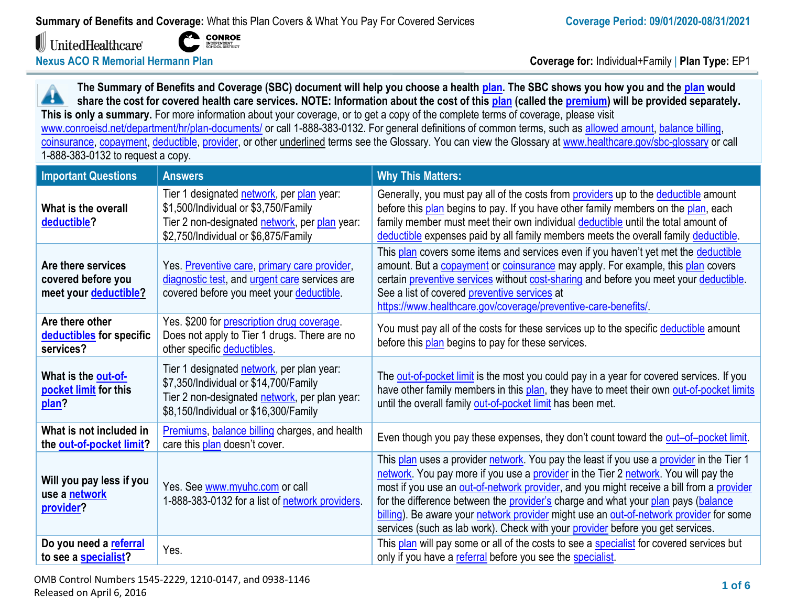UnitedHealthcare®



**Nexus ACO R Memorial Hermann Plan Coverage for:** Individual+Family | **Plan Type:** EP1

**The Summary of Benefits and Coverage (SBC) document will help you choose a health [plan.](https://www.healthcare.gov/sbc-glossary/#plan) The SBC shows you how you and the [plan](https://www.healthcare.gov/sbc-glossary/#plan) would** Æ **share the cost for covered health care services. NOTE: Information about the cost of thi[s plan](https://www.healthcare.gov/sbc-glossary/#plan) (called the [premium\)](https://www.healthcare.gov/sbc-glossary/#premium) will be provided separately. This is only a summary.** For more information about your coverage, or to get a copy of the complete terms of coverage, please visit [www.conroeisd.net/department/hr/plan-documents/](http://www.conroeisd.net/department/hr/plan-documents/) or call 1-888-383-0132. For general definitions of common terms, such as [allowed amount,](https://www.healthcare.gov/sbc-glossary/#allowed-amount) [balance billing,](https://www.healthcare.gov/sbc-glossary/#balance-billing) [coinsurance,](https://www.healthcare.gov/sbc-glossary/#coinsurance) [copayment,](https://www.healthcare.gov/sbc-glossary/#copayment) [deductible,](https://www.healthcare.gov/sbc-glossary/#deductible) [provider,](https://www.healthcare.gov/sbc-glossary/#provider) or other underlined terms see the Glossary. You can view the Glossary at [www.healthcare.gov/sbc-glossary](http://www.healthcare.gov/sbc-glossary) or call 1-888-383-0132 to request a copy.

| <b>Important Questions</b>                                        | <b>Answers</b>                                                                                                                                                               | <b>Why This Matters:</b>                                                                                                                                                                                                                                                                                                                                                                                                                                                                                                                     |
|-------------------------------------------------------------------|------------------------------------------------------------------------------------------------------------------------------------------------------------------------------|----------------------------------------------------------------------------------------------------------------------------------------------------------------------------------------------------------------------------------------------------------------------------------------------------------------------------------------------------------------------------------------------------------------------------------------------------------------------------------------------------------------------------------------------|
| What is the overall<br>deductible?                                | Tier 1 designated network, per plan year:<br>\$1,500/Individual or \$3,750/Family<br>Tier 2 non-designated network, per plan year:<br>\$2,750/Individual or \$6,875/Family   | Generally, you must pay all of the costs from providers up to the deductible amount<br>before this plan begins to pay. If you have other family members on the plan, each<br>family member must meet their own individual deductible until the total amount of<br>deductible expenses paid by all family members meets the overall family deductible.                                                                                                                                                                                        |
| Are there services<br>covered before you<br>meet your deductible? | Yes. Preventive care, primary care provider,<br>diagnostic test, and urgent care services are<br>covered before you meet your deductible.                                    | This plan covers some items and services even if you haven't yet met the deductible<br>amount. But a copayment or coinsurance may apply. For example, this plan covers<br>certain preventive services without cost-sharing and before you meet your deductible.<br>See a list of covered preventive services at<br>https://www.healthcare.gov/coverage/preventive-care-benefits/                                                                                                                                                             |
| Are there other<br>deductibles for specific<br>services?          | Yes. \$200 for prescription drug coverage.<br>Does not apply to Tier 1 drugs. There are no<br>other specific deductibles.                                                    | You must pay all of the costs for these services up to the specific deductible amount<br>before this plan begins to pay for these services.                                                                                                                                                                                                                                                                                                                                                                                                  |
| What is the out-of-<br>pocket limit for this<br>plan?             | Tier 1 designated network, per plan year:<br>\$7,350/Individual or \$14,700/Family<br>Tier 2 non-designated network, per plan year:<br>\$8,150/Individual or \$16,300/Family | The out-of-pocket limit is the most you could pay in a year for covered services. If you<br>have other family members in this plan, they have to meet their own out-of-pocket limits<br>until the overall family out-of-pocket limit has been met.                                                                                                                                                                                                                                                                                           |
| What is not included in<br>the out-of-pocket limit?               | Premiums, balance billing charges, and health<br>care this plan doesn't cover.                                                                                               | Even though you pay these expenses, they don't count toward the out-of-pocket limit.                                                                                                                                                                                                                                                                                                                                                                                                                                                         |
| Will you pay less if you<br>use a network<br>provider?            | Yes. See www.myuhc.com or call<br>1-888-383-0132 for a list of network providers.                                                                                            | This plan uses a provider network. You pay the least if you use a provider in the Tier 1<br>network. You pay more if you use a provider in the Tier 2 network. You will pay the<br>most if you use an out-of-network provider, and you might receive a bill from a provider<br>for the difference between the provider's charge and what your plan pays (balance<br>billing). Be aware your network provider might use an out-of-network provider for some<br>services (such as lab work). Check with your provider before you get services. |
| Do you need a referral<br>to see a specialist?                    | Yes.                                                                                                                                                                         | This plan will pay some or all of the costs to see a specialist for covered services but<br>only if you have a referral before you see the specialist.                                                                                                                                                                                                                                                                                                                                                                                       |

OMB Control Numbers 1545-2229, 1210-0147, and 0938-1146 Released on April 6, 2016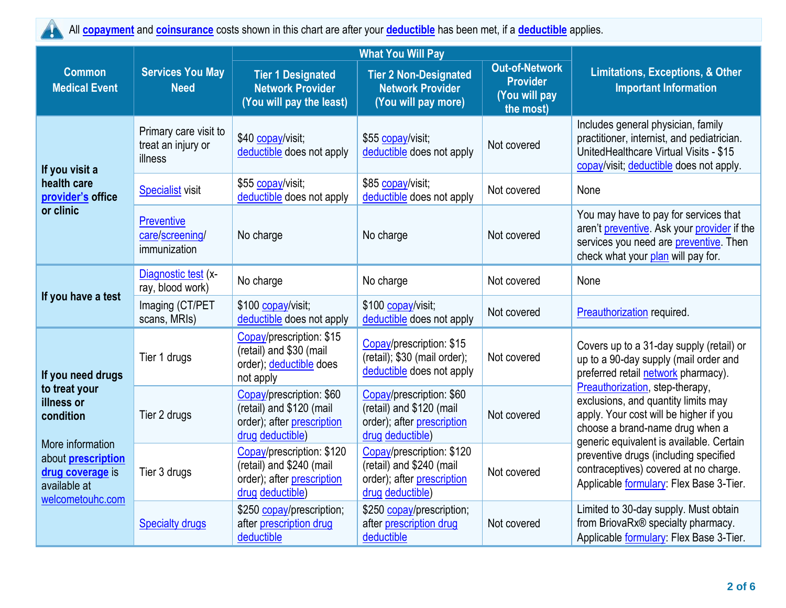All **[copayment](https://www.healthcare.gov/sbc-glossary/#copayment)** and **[coinsurance](https://www.healthcare.gov/sbc-glossary/#coinsurance)** costs shown in this chart are after your **[deductible](https://www.healthcare.gov/sbc-glossary/#deductible)** has been met, if a **[deductible](https://www.healthcare.gov/sbc-glossary/#deductible)** applies. W

|                                                                                                                                                                        |                                                        |                                                                                                         | <b>What You Will Pay</b>                                                                                |                                                                        |                                                                                                                                                                                                 |  |
|------------------------------------------------------------------------------------------------------------------------------------------------------------------------|--------------------------------------------------------|---------------------------------------------------------------------------------------------------------|---------------------------------------------------------------------------------------------------------|------------------------------------------------------------------------|-------------------------------------------------------------------------------------------------------------------------------------------------------------------------------------------------|--|
| <b>Common</b><br><b>Medical Event</b>                                                                                                                                  | <b>Services You May</b><br><b>Need</b>                 | <b>Tier 1 Designated</b><br><b>Network Provider</b><br>(You will pay the least)                         | <b>Tier 2 Non-Designated</b><br><b>Network Provider</b><br>(You will pay more)                          | <b>Out-of-Network</b><br><b>Provider</b><br>(You will pay<br>the most) | <b>Limitations, Exceptions, &amp; Other</b><br><b>Important Information</b>                                                                                                                     |  |
| If you visit a                                                                                                                                                         | Primary care visit to<br>treat an injury or<br>illness | \$40 copay/visit;<br>deductible does not apply                                                          | \$55 copay/visit;<br>deductible does not apply                                                          | Not covered                                                            | Includes general physician, family<br>practitioner, internist, and pediatrician.<br>UnitedHealthcare Virtual Visits - \$15<br>copay/visit; deductible does not apply.                           |  |
| health care<br>provider's office                                                                                                                                       | <b>Specialist visit</b>                                | \$55 copay/visit;<br>deductible does not apply                                                          | \$85 copay/visit;<br>deductible does not apply                                                          | Not covered                                                            | None                                                                                                                                                                                            |  |
| or clinic                                                                                                                                                              | <b>Preventive</b><br>care/screening/<br>immunization   | No charge                                                                                               | No charge                                                                                               | Not covered                                                            | You may have to pay for services that<br>aren't preventive. Ask your provider if the<br>services you need are preventive. Then<br>check what your plan will pay for.                            |  |
|                                                                                                                                                                        | Diagnostic test (x-<br>ray, blood work)                | No charge                                                                                               | No charge                                                                                               | Not covered                                                            | None                                                                                                                                                                                            |  |
| If you have a test                                                                                                                                                     | Imaging (CT/PET<br>scans, MRIs)                        | \$100 copay/visit;<br>deductible does not apply                                                         | \$100 copay/visit;<br>deductible does not apply                                                         | Not covered                                                            | Preauthorization required.                                                                                                                                                                      |  |
| If you need drugs<br>to treat your<br>illness or<br>condition<br>More information<br>about <b>prescription</b><br>drug coverage is<br>available at<br>welcometouhc.com | Tier 1 drugs                                           | Copay/prescription: \$15<br>(retail) and \$30 (mail<br>order); deductible does<br>not apply             | Copay/prescription: \$15<br>(retail); \$30 (mail order);<br>deductible does not apply                   | Not covered                                                            | Covers up to a 31-day supply (retail) or<br>up to a 90-day supply (mail order and<br>preferred retail network pharmacy).                                                                        |  |
|                                                                                                                                                                        | Tier 2 drugs                                           | Copay/prescription: \$60<br>(retail) and \$120 (mail<br>order); after prescription<br>drug deductible)  | Copay/prescription: \$60<br>(retail) and \$120 (mail<br>order); after prescription<br>drug deductible)  | Not covered                                                            | Preauthorization, step-therapy,<br>exclusions, and quantity limits may<br>apply. Your cost will be higher if you<br>choose a brand-name drug when a<br>generic equivalent is available. Certain |  |
|                                                                                                                                                                        | Tier 3 drugs                                           | Copay/prescription: \$120<br>(retail) and \$240 (mail<br>order); after prescription<br>drug deductible) | Copay/prescription: \$120<br>(retail) and \$240 (mail<br>order); after prescription<br>drug deductible) | Not covered                                                            | preventive drugs (including specified<br>contraceptives) covered at no charge.<br>Applicable formulary: Flex Base 3-Tier.                                                                       |  |
|                                                                                                                                                                        | <b>Specialty drugs</b>                                 | \$250 copay/prescription;<br>after prescription drug<br>deductible                                      | \$250 copay/prescription;<br>after prescription drug<br>deductible                                      | Not covered                                                            | Limited to 30-day supply. Must obtain<br>from BriovaRx® specialty pharmacy.<br>Applicable formulary: Flex Base 3-Tier.                                                                          |  |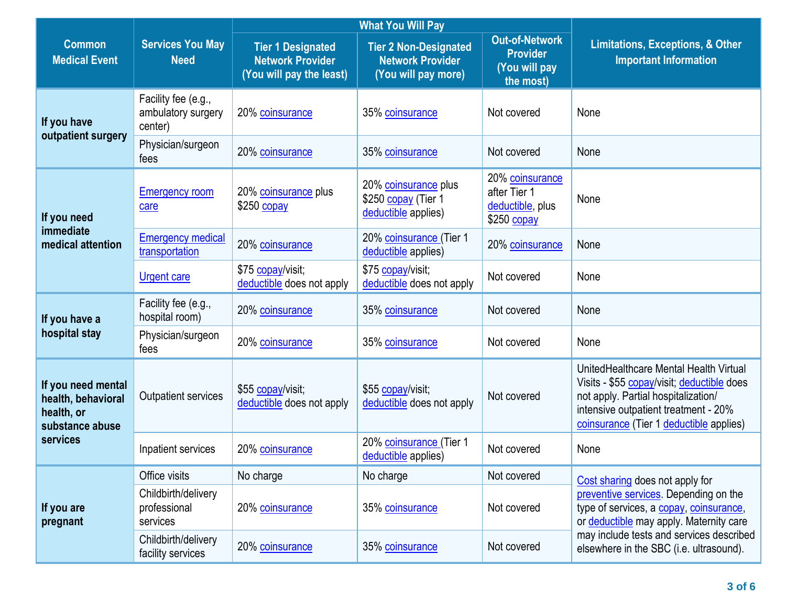|                                                                           |                                                      |                                                                                 | <b>What You Will Pay</b>                                                                                                                                 | <b>Limitations, Exceptions, &amp; Other</b><br><b>Important Information</b> |                                                                                                                                                                                                                |
|---------------------------------------------------------------------------|------------------------------------------------------|---------------------------------------------------------------------------------|----------------------------------------------------------------------------------------------------------------------------------------------------------|-----------------------------------------------------------------------------|----------------------------------------------------------------------------------------------------------------------------------------------------------------------------------------------------------------|
| <b>Common</b><br><b>Medical Event</b>                                     | <b>Services You May</b><br><b>Need</b>               | <b>Tier 1 Designated</b><br><b>Network Provider</b><br>(You will pay the least) | <b>Out-of-Network</b><br><b>Tier 2 Non-Designated</b><br><b>Provider</b><br><b>Network Provider</b><br>(You will pay<br>(You will pay more)<br>the most) |                                                                             |                                                                                                                                                                                                                |
| If you have<br>outpatient surgery                                         | Facility fee (e.g.,<br>ambulatory surgery<br>center) | 20% coinsurance                                                                 | 35% coinsurance                                                                                                                                          | Not covered                                                                 | None                                                                                                                                                                                                           |
|                                                                           | Physician/surgeon<br>fees                            | 20% coinsurance                                                                 | 35% coinsurance                                                                                                                                          | Not covered                                                                 | None                                                                                                                                                                                                           |
| If you need                                                               | <b>Emergency room</b><br>care                        | 20% coinsurance plus<br>\$250 copay                                             | 20% coinsurance plus<br>\$250 copay (Tier 1<br>deductible applies)                                                                                       | 20% coinsurance<br>after Tier 1<br>deductible, plus<br>\$250 copay          | None                                                                                                                                                                                                           |
| immediate<br>medical attention                                            | <b>Emergency medical</b><br>transportation           | 20% coinsurance                                                                 | 20% coinsurance (Tier 1<br>deductible applies)                                                                                                           | 20% coinsurance                                                             | None                                                                                                                                                                                                           |
|                                                                           | <b>Urgent care</b>                                   | \$75 copay/visit;<br>deductible does not apply                                  | \$75 copay/visit;<br>deductible does not apply                                                                                                           | Not covered                                                                 | None                                                                                                                                                                                                           |
| If you have a                                                             | Facility fee (e.g.,<br>hospital room)                | 20% coinsurance                                                                 | 35% coinsurance                                                                                                                                          | Not covered                                                                 | None                                                                                                                                                                                                           |
| hospital stay                                                             | Physician/surgeon<br>fees                            | 20% coinsurance                                                                 | 35% coinsurance                                                                                                                                          | Not covered                                                                 | None                                                                                                                                                                                                           |
| If you need mental<br>health, behavioral<br>health, or<br>substance abuse | Outpatient services                                  | \$55 copay/visit;<br>deductible does not apply                                  | \$55 copay/visit;<br>deductible does not apply                                                                                                           | Not covered                                                                 | UnitedHealthcare Mental Health Virtual<br>Visits - \$55 copay/visit; deductible does<br>not apply. Partial hospitalization/<br>intensive outpatient treatment - 20%<br>coinsurance (Tier 1 deductible applies) |
| services                                                                  | Inpatient services                                   | 20% coinsurance                                                                 | 20% coinsurance (Tier 1<br>deductible applies)                                                                                                           | Not covered                                                                 | None                                                                                                                                                                                                           |
|                                                                           | Office visits                                        | No charge                                                                       | No charge                                                                                                                                                | Not covered                                                                 | Cost sharing does not apply for                                                                                                                                                                                |
| If you are<br>pregnant                                                    | Childbirth/delivery<br>professional<br>services      | 20% coinsurance                                                                 | 35% coinsurance                                                                                                                                          | Not covered                                                                 | preventive services. Depending on the<br>type of services, a copay, coinsurance,<br>or deductible may apply. Maternity care                                                                                    |
|                                                                           | Childbirth/delivery<br>facility services             | 20% coinsurance                                                                 | 35% coinsurance                                                                                                                                          | Not covered                                                                 | may include tests and services described<br>elsewhere in the SBC (i.e. ultrasound).                                                                                                                            |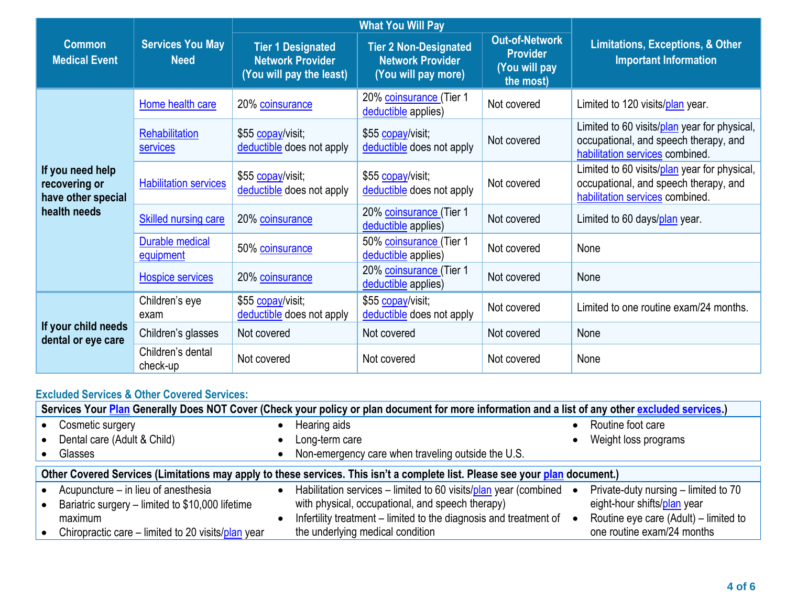|                                                         |                                        |                                                                                 | <b>What You Will Pay</b>                                                       |                                                                        |                                                                                                                          |  |
|---------------------------------------------------------|----------------------------------------|---------------------------------------------------------------------------------|--------------------------------------------------------------------------------|------------------------------------------------------------------------|--------------------------------------------------------------------------------------------------------------------------|--|
| <b>Common</b><br><b>Medical Event</b>                   | <b>Services You May</b><br><b>Need</b> | <b>Tier 1 Designated</b><br><b>Network Provider</b><br>(You will pay the least) | <b>Tier 2 Non-Designated</b><br><b>Network Provider</b><br>(You will pay more) | <b>Out-of-Network</b><br><b>Provider</b><br>(You will pay<br>the most) | <b>Limitations, Exceptions, &amp; Other</b><br><b>Important Information</b>                                              |  |
|                                                         | Home health care                       | 20% coinsurance                                                                 | 20% coinsurance (Tier 1<br>deductible applies)                                 | Not covered                                                            | Limited to 120 visits/plan year.                                                                                         |  |
|                                                         | Rehabilitation<br>services             | \$55 copay/visit;<br>deductible does not apply                                  | \$55 copay/visit;<br>deductible does not apply                                 | Not covered                                                            | Limited to 60 visits/plan year for physical,<br>occupational, and speech therapy, and<br>habilitation services combined. |  |
| If you need help<br>recovering or<br>have other special | <b>Habilitation services</b>           | \$55 copay/visit;<br>deductible does not apply                                  | \$55 copay/visit;<br>deductible does not apply                                 | Not covered                                                            | Limited to 60 visits/plan year for physical,<br>occupational, and speech therapy, and<br>habilitation services combined. |  |
| health needs                                            | <b>Skilled nursing care</b>            | 20% coinsurance                                                                 | 20% coinsurance (Tier 1<br>deductible applies)                                 | Not covered                                                            | Limited to 60 days/plan year.                                                                                            |  |
|                                                         | <b>Durable medical</b><br>equipment    | 50% coinsurance                                                                 | 50% coinsurance (Tier 1<br>deductible applies)                                 | Not covered                                                            | None                                                                                                                     |  |
|                                                         | Hospice services                       | 20% coinsurance                                                                 | 20% coinsurance (Tier 1<br>deductible applies)                                 | Not covered                                                            | None                                                                                                                     |  |
|                                                         | Children's eye<br>exam                 | \$55 copay/visit;<br>deductible does not apply                                  | \$55 copay/visit;<br>deductible does not apply                                 | Not covered                                                            | Limited to one routine exam/24 months.                                                                                   |  |
| If your child needs<br>dental or eye care               | Children's glasses                     | Not covered                                                                     | Not covered                                                                    | Not covered                                                            | None                                                                                                                     |  |
|                                                         | Children's dental<br>check-up          | Not covered                                                                     | Not covered                                                                    | Not covered                                                            | None                                                                                                                     |  |

## **Excluded Services & Other Covered Services:**

| Services Your Plan Generally Does NOT Cover (Check your policy or plan document for more information and a list of any other excluded services.) |  |                                                                   |           |                                       |  |  |  |
|--------------------------------------------------------------------------------------------------------------------------------------------------|--|-------------------------------------------------------------------|-----------|---------------------------------------|--|--|--|
| Cosmetic surgery                                                                                                                                 |  | Hearing aids                                                      |           | • Routine foot care                   |  |  |  |
| Dental care (Adult & Child)                                                                                                                      |  | Long-term care                                                    |           | Weight loss programs                  |  |  |  |
| Glasses                                                                                                                                          |  | Non-emergency care when traveling outside the U.S.                |           |                                       |  |  |  |
| Other Covered Services (Limitations may apply to these services. This isn't a complete list. Please see your plan document.)                     |  |                                                                   |           |                                       |  |  |  |
| Acupuncture – in lieu of anesthesia                                                                                                              |  | Habilitation services – limited to 60 visits/plan year (combined  | $\bullet$ | Private-duty nursing – limited to 70  |  |  |  |
| Bariatric surgery - limited to \$10,000 lifetime                                                                                                 |  | with physical, occupational, and speech therapy)                  |           | eight-hour shifts/plan year           |  |  |  |
| maximum                                                                                                                                          |  | Infertility treatment – limited to the diagnosis and treatment of |           | Routine eye care (Adult) – limited to |  |  |  |
| Chiropractic care – limited to 20 visits/plan year                                                                                               |  | the underlying medical condition                                  |           | one routine exam/24 months            |  |  |  |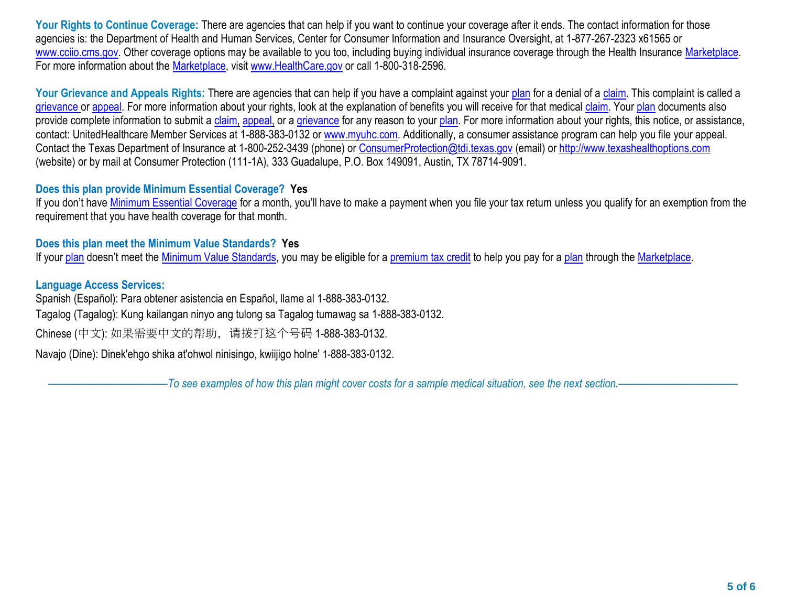Your Rights to Continue Coverage: There are agencies that can help if you want to continue your coverage after it ends. The contact information for those agencies is: the Department of Health and Human Services, Center for Consumer Information and Insurance Oversight, at 1-877-267-2323 x61565 or [www.cciio.cms.gov.](http://www.cciio.cms.gov/) Other coverage options may be available to you too, including buying individual insurance coverage through the Health Insurance [Marketplace.](https://www.healthcare.gov/sbc-glossary/#marketplace) For more information about the [Marketplace,](https://www.healthcare.gov/sbc-glossary/#marketplace) visit [www.HealthCare.gov](http://www.healthcare.gov/) or call 1-800-318-2596.

Your Grievance and Appeals Rights: There are agencies that can help if you have a complaint against your [plan](https://www.healthcare.gov/sbc-glossary/#plan) for a denial of a [claim.](https://www.healthcare.gov/sbc-glossary/#claim) This complaint is called a [grievance](https://www.healthcare.gov/sbc-glossary/#grievance) or [appeal.](https://www.healthcare.gov/sbc-glossary/#appeal) For more information about your rights, look at the explanation of benefits you will receive for that medica[l claim.](https://www.healthcare.gov/sbc-glossary/#claim) Your [plan](https://www.healthcare.gov/sbc-glossary/#plan) documents also provide complete information to submit a [claim,](https://www.healthcare.gov/sbc-glossary/#claim) [appeal,](https://www.healthcare.gov/sbc-glossary/#appeal) or a [grievance](https://www.healthcare.gov/sbc-glossary/#grievance) for any reason to your [plan.](https://www.healthcare.gov/sbc-glossary/#plan) For more information about your rights, this notice, or assistance, contact: UnitedHealthcare Member Services at 1-888-383-0132 or [www.myuhc.com.](http://www.myuhc.com/) Additionally, a consumer assistance program can help you file your appeal. Contact the Texas Department of Insurance at 1-800-252-3439 (phone) or [ConsumerProtection@tdi.texas.gov](mailto:ConsumerProtection@tdi.texas.gov) (email) or [http://www.texashealthoptions.com](http://www.texashealthoptions.com/) (website) or by mail at Consumer Protection (111-1A), 333 Guadalupe, P.O. Box 149091, Austin, TX 78714-9091.

## **Does this plan provide Minimum Essential Coverage? Yes**

If you don't have [Minimum Essential Coverage](https://www.healthcare.gov/sbc-glossary/#minimum-essential-coverage) for a month, you'll have to make a payment when you file your tax return unless you qualify for an exemption from the requirement that you have health coverage for that month.

## **Does this plan meet the Minimum Value Standards? Yes**

If your [plan](https://www.healthcare.gov/sbc-glossary/#plan) doesn't meet the Minimum [Value Standards,](https://www.healthcare.gov/sbc-glossary/#minimum-value-standard) you may be eligible for a [premium tax credit](https://www.healthcare.gov/sbc-glossary/#premium-tax-credits) to help you pay for a plan through the [Marketplace.](https://www.healthcare.gov/sbc-glossary/#marketplace)

## **Language Access Services:**

Spanish (Español): Para obtener asistencia en Español, llame al 1-888-383-0132.

Tagalog (Tagalog): Kung kailangan ninyo ang tulong sa Tagalog tumawag sa 1-888-383-0132.

Chinese (中文): 如果需要中文的帮助,请拨打这个号码 1-888-383-0132.

Navajo (Dine): Dinek'ehgo shika at'ohwol ninisingo, kwiijigo holne' 1-888-383-0132.

––––––––––––––––––––––*To see examples of how this plan might cover costs for a sample medical situation, see the next section.–––––––––––*–––––––––––